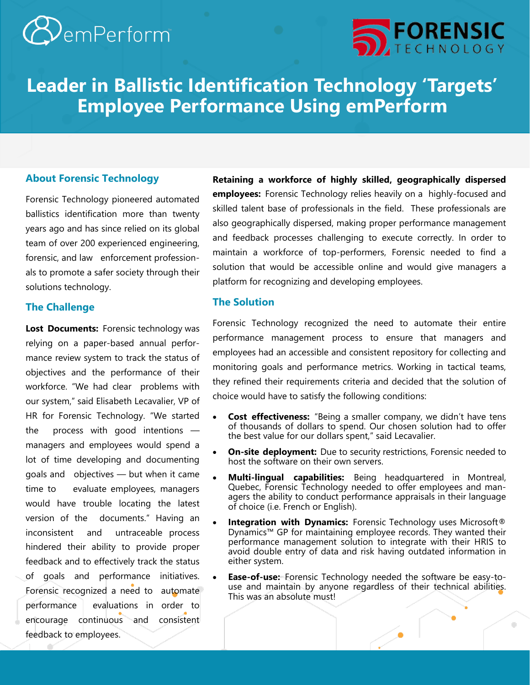# $\mathcal{O}_{\mathsf{emPerform}}$



**Leader in Ballistic Identification Technology 'Targets' Employee Performance Using emPerform**

#### **About Forensic Technology**

[Forensic Technology](http://www.forensictechnology.com) pioneered automated ballistics identification more than twenty years ago and has since relied on its global team of over 200 experienced engineering, forensic, and law enforcement professionals to promote a safer society through their solutions technology.

#### **The Challenge**

**Lost Documents:** Forensic technology was relying on a paper-based annual performance review system to track the status of objectives and the performance of their workforce. "We had clear problems with our system," said Elisabeth Lecavalier, VP of HR for Forensic Technology. "We started the process with good intentions managers and employees would spend a lot of time developing and documenting goals and objectives — but when it came time to evaluate employees, managers would have trouble locating the latest version of the documents." Having an inconsistent and untraceable process hindered their ability to provide proper feedback and to effectively track the status of goals and performance initiatives. Forensic recognized a need to automate  $performance$  evaluations in order to encourage continuous and consistent feedback to employees.

**Retaining a workforce of highly skilled, geographically dispersed employees:** Forensic Technology relies heavily on a highly-focused and skilled talent base of professionals in the field. These professionals are also geographically dispersed, making proper performance management and feedback processes challenging to execute correctly. In order to maintain a workforce of top-performers, Forensic needed to find a solution that would be accessible online and would give managers a platform for recognizing and developing employees.

## **The Solution**

Forensic Technology recognized the need to automate their entire performance management process to ensure that managers and employees had an accessible and consistent repository for collecting and monitoring goals and performance metrics. Working in tactical teams, they refined their requirements criteria and decided that the solution of choice would have to satisfy the following conditions:

- **Cost effectiveness:** "Being a smaller company, we didn't have tens of thousands of dollars to spend. Our chosen solution had to offer the best value for our dollars spent," said Lecavalier.
- **On-site deployment:** Due to security restrictions, Forensic needed to host the software on their own servers.
- **Multi-lingual capabilities:** Being headquartered in Montreal, Quebec, Forensic Technology needed to offer employees and managers the ability to conduct performance appraisals in their language of choice (i.e. French or English).
- **Integration with Dynamics:** Forensic Technology uses Microsoft<sup>®</sup> Dynamics™ GP for maintaining employee records. They wanted their performance management solution to integrate with their HRIS to avoid double entry of data and risk having outdated information in either system.
- **Ease-of-use:** Forensic Technology needed the software be easy-touse and maintain by anyone regardless of their technical abilities. This was an absolute must!